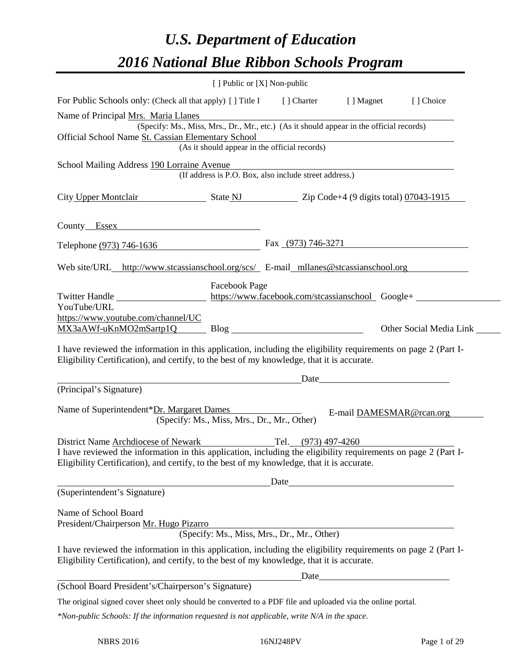# *U.S. Department of Education 2016 National Blue Ribbon Schools Program*

|                                                                                                                                                                                                              | [ ] Public or [X] Non-public                |                                                                                                          |                          |                                                  |
|--------------------------------------------------------------------------------------------------------------------------------------------------------------------------------------------------------------|---------------------------------------------|----------------------------------------------------------------------------------------------------------|--------------------------|--------------------------------------------------|
| For Public Schools only: (Check all that apply) [] Title I [] Charter [] Magnet                                                                                                                              |                                             |                                                                                                          |                          | [ ] Choice                                       |
| Name of Principal Mrs. Maria Llanes                                                                                                                                                                          |                                             |                                                                                                          |                          |                                                  |
| (Specify: Ms., Miss, Mrs., Dr., Mr., etc.) (As it should appear in the official records)<br>Official School Name St. Cassian Elementary School<br>(As it should appear in the official records)              |                                             |                                                                                                          |                          |                                                  |
| School Mailing Address 190 Lorraine Avenue<br>(If address is P.O. Box, also include street address.)                                                                                                         |                                             |                                                                                                          |                          |                                                  |
| City Upper Montclair State NJ Zip Code+4 (9 digits total) 07043-1915                                                                                                                                         |                                             |                                                                                                          |                          |                                                  |
| County Essex 2008                                                                                                                                                                                            |                                             |                                                                                                          |                          |                                                  |
| Telephone (973) 746-1636                                                                                                                                                                                     |                                             | Fax $(973)$ 746-3271                                                                                     |                          |                                                  |
| Web site/URL_http://www.stcassianschool.org/scs/_E-mail_mllanes@stcassianschool.org                                                                                                                          |                                             |                                                                                                          |                          |                                                  |
| Twitter Handle                                                                                                                                                                                               | Facebook Page                               |                                                                                                          |                          | https://www.facebook.com/stcassianschool_Google+ |
| YouTube/URL                                                                                                                                                                                                  |                                             |                                                                                                          |                          |                                                  |
| https://www.youtube.com/channel/UC<br>MX3aAWf-uKnMO2mSartp1Q Blog Blog                                                                                                                                       |                                             |                                                                                                          |                          | Other Social Media Link                          |
| I have reviewed the information in this application, including the eligibility requirements on page 2 (Part I-<br>Eligibility Certification), and certify, to the best of my knowledge, that it is accurate. |                                             |                                                                                                          |                          |                                                  |
|                                                                                                                                                                                                              |                                             |                                                                                                          | Date                     |                                                  |
| (Principal's Signature)                                                                                                                                                                                      |                                             |                                                                                                          |                          |                                                  |
| Name of Superintendent*Dr. Margaret Dames                                                                                                                                                                    | (Specify: Ms., Miss, Mrs., Dr., Mr., Other) |                                                                                                          | E-mail DAMESMAR@rcan.org |                                                  |
| District Name Archdiocese of Newark Tel. (973) 497-4260                                                                                                                                                      |                                             |                                                                                                          |                          |                                                  |
| I have reviewed the information in this application, including the eligibility requirements on page 2 (Part I-<br>Eligibility Certification), and certify, to the best of my knowledge, that it is accurate. |                                             |                                                                                                          |                          |                                                  |
| Date                                                                                                                                                                                                         |                                             |                                                                                                          |                          |                                                  |
| (Superintendent's Signature)                                                                                                                                                                                 |                                             |                                                                                                          |                          |                                                  |
| Name of School Board<br>President/Chairperson Mr. Hugo Pizarro                                                                                                                                               |                                             | <u> 1980 - Andrea Stadt Britain, amerikansk politik (</u><br>(Specify: Ms., Miss, Mrs., Dr., Mr., Other) |                          |                                                  |
| I have reviewed the information in this application, including the eligibility requirements on page 2 (Part I-<br>Eligibility Certification), and certify, to the best of my knowledge, that it is accurate. |                                             |                                                                                                          |                          |                                                  |
|                                                                                                                                                                                                              |                                             |                                                                                                          |                          |                                                  |
| (School Board President's/Chairperson's Signature)                                                                                                                                                           |                                             |                                                                                                          |                          |                                                  |
| The original signed cover sheet only should be converted to a PDF file and uploaded via the online portal.                                                                                                   |                                             |                                                                                                          |                          |                                                  |
| *Non-public Schools: If the information requested is not applicable, write N/A in the space.                                                                                                                 |                                             |                                                                                                          |                          |                                                  |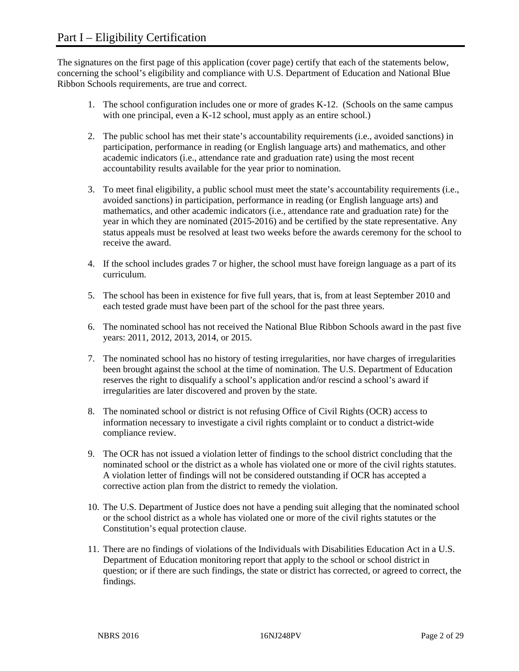The signatures on the first page of this application (cover page) certify that each of the statements below, concerning the school's eligibility and compliance with U.S. Department of Education and National Blue Ribbon Schools requirements, are true and correct.

- 1. The school configuration includes one or more of grades K-12. (Schools on the same campus with one principal, even a K-12 school, must apply as an entire school.)
- 2. The public school has met their state's accountability requirements (i.e., avoided sanctions) in participation, performance in reading (or English language arts) and mathematics, and other academic indicators (i.e., attendance rate and graduation rate) using the most recent accountability results available for the year prior to nomination.
- 3. To meet final eligibility, a public school must meet the state's accountability requirements (i.e., avoided sanctions) in participation, performance in reading (or English language arts) and mathematics, and other academic indicators (i.e., attendance rate and graduation rate) for the year in which they are nominated (2015-2016) and be certified by the state representative. Any status appeals must be resolved at least two weeks before the awards ceremony for the school to receive the award.
- 4. If the school includes grades 7 or higher, the school must have foreign language as a part of its curriculum.
- 5. The school has been in existence for five full years, that is, from at least September 2010 and each tested grade must have been part of the school for the past three years.
- 6. The nominated school has not received the National Blue Ribbon Schools award in the past five years: 2011, 2012, 2013, 2014, or 2015.
- 7. The nominated school has no history of testing irregularities, nor have charges of irregularities been brought against the school at the time of nomination. The U.S. Department of Education reserves the right to disqualify a school's application and/or rescind a school's award if irregularities are later discovered and proven by the state.
- 8. The nominated school or district is not refusing Office of Civil Rights (OCR) access to information necessary to investigate a civil rights complaint or to conduct a district-wide compliance review.
- 9. The OCR has not issued a violation letter of findings to the school district concluding that the nominated school or the district as a whole has violated one or more of the civil rights statutes. A violation letter of findings will not be considered outstanding if OCR has accepted a corrective action plan from the district to remedy the violation.
- 10. The U.S. Department of Justice does not have a pending suit alleging that the nominated school or the school district as a whole has violated one or more of the civil rights statutes or the Constitution's equal protection clause.
- 11. There are no findings of violations of the Individuals with Disabilities Education Act in a U.S. Department of Education monitoring report that apply to the school or school district in question; or if there are such findings, the state or district has corrected, or agreed to correct, the findings.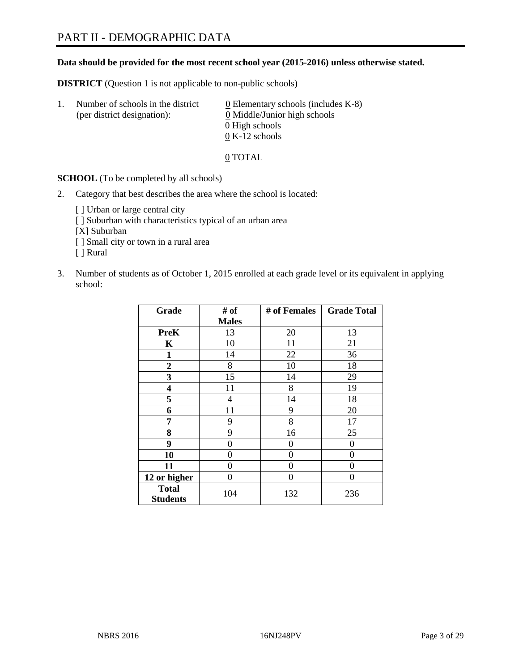#### **Data should be provided for the most recent school year (2015-2016) unless otherwise stated.**

**DISTRICT** (Question 1 is not applicable to non-public schools)

| Ι. | Number of schools in the district<br>(per district designation): | $\underline{0}$ Elementary schools (includes K-8)<br>0 Middle/Junior high schools |
|----|------------------------------------------------------------------|-----------------------------------------------------------------------------------|
|    |                                                                  | 0 High schools                                                                    |
|    |                                                                  | $0 K-12$ schools                                                                  |

0 TOTAL

**SCHOOL** (To be completed by all schools)

- 2. Category that best describes the area where the school is located:
	- [] Urban or large central city [ ] Suburban with characteristics typical of an urban area [X] Suburban [ ] Small city or town in a rural area [ ] Rural
- 3. Number of students as of October 1, 2015 enrolled at each grade level or its equivalent in applying school:

| Grade                           | # of         | # of Females | <b>Grade Total</b> |
|---------------------------------|--------------|--------------|--------------------|
|                                 | <b>Males</b> |              |                    |
| <b>PreK</b>                     | 13           | 20           | 13                 |
| $\mathbf K$                     | 10           | 11           | 21                 |
| $\mathbf{1}$                    | 14           | 22           | 36                 |
| $\overline{2}$                  | 8            | 10           | 18                 |
| 3                               | 15           | 14           | 29                 |
| 4                               | 11           | 8            | 19                 |
| 5                               | 4            | 14           | 18                 |
| 6                               | 11           | 9            | 20                 |
| 7                               | 9            | 8            | 17                 |
| 8                               | 9            | 16           | 25                 |
| 9                               | 0            | 0            | 0                  |
| 10                              | 0            | 0            | 0                  |
| 11                              | 0            | 0            | 0                  |
| 12 or higher                    | 0            | 0            | 0                  |
| <b>Total</b><br><b>Students</b> | 104          | 132          | 236                |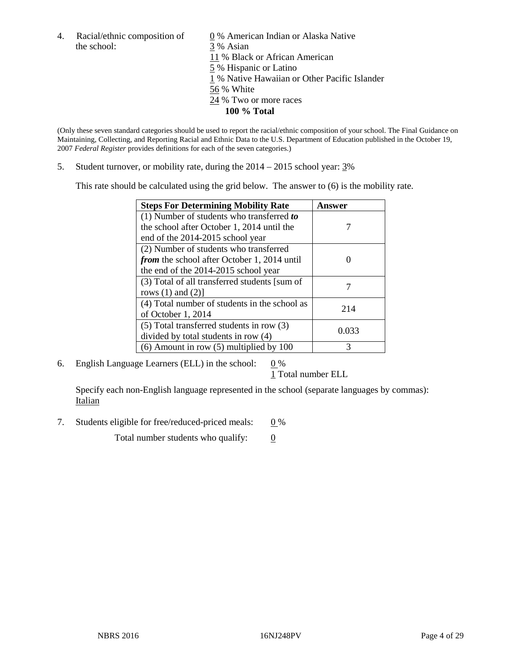the school: 3 % Asian

4. Racial/ethnic composition of  $\qquad 0\%$  American Indian or Alaska Native 11 % Black or African American 5 % Hispanic or Latino 1 % Native Hawaiian or Other Pacific Islander 56 % White 24 % Two or more races **100 % Total**

(Only these seven standard categories should be used to report the racial/ethnic composition of your school. The Final Guidance on Maintaining, Collecting, and Reporting Racial and Ethnic Data to the U.S. Department of Education published in the October 19, 2007 *Federal Register* provides definitions for each of the seven categories.)

5. Student turnover, or mobility rate, during the  $2014 - 2015$  school year:  $3\%$ 

This rate should be calculated using the grid below. The answer to (6) is the mobility rate.

| <b>Steps For Determining Mobility Rate</b>         | Answer |
|----------------------------------------------------|--------|
| (1) Number of students who transferred to          |        |
| the school after October 1, 2014 until the         |        |
| end of the 2014-2015 school year                   |        |
| (2) Number of students who transferred             |        |
| <i>from</i> the school after October 1, 2014 until |        |
| the end of the 2014-2015 school year               |        |
| (3) Total of all transferred students [sum of      |        |
| rows $(1)$ and $(2)$ ]                             |        |
| (4) Total number of students in the school as      | 214    |
| of October 1, 2014                                 |        |
| $(5)$ Total transferred students in row $(3)$      | 0.033  |
| divided by total students in row (4)               |        |
| $(6)$ Amount in row $(5)$ multiplied by 100        | 3      |

6. English Language Learners (ELL) in the school:  $0\%$ 

1 Total number ELL

Specify each non-English language represented in the school (separate languages by commas): Italian

7. Students eligible for free/reduced-priced meals:  $0\%$ 

Total number students who qualify:  $\qquad 0$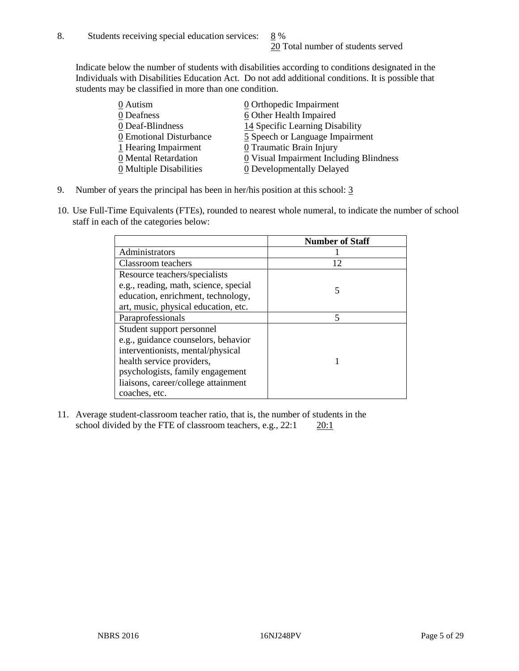Indicate below the number of students with disabilities according to conditions designated in the Individuals with Disabilities Education Act. Do not add additional conditions. It is possible that students may be classified in more than one condition.

| 0 Autism                              | $\underline{0}$ Orthopedic Impairment     |
|---------------------------------------|-------------------------------------------|
| 0 Deafness                            | 6 Other Health Impaired                   |
| 0 Deaf-Blindness                      | 14 Specific Learning Disability           |
| 0 Emotional Disturbance               | 5 Speech or Language Impairment           |
| 1 Hearing Impairment                  | 0 Traumatic Brain Injury                  |
| 0 Mental Retardation                  | $0$ Visual Impairment Including Blindness |
| $\underline{0}$ Multiple Disabilities | <b>0</b> Developmentally Delayed          |

- 9. Number of years the principal has been in her/his position at this school: 3
- 10. Use Full-Time Equivalents (FTEs), rounded to nearest whole numeral, to indicate the number of school staff in each of the categories below:

|                                       | <b>Number of Staff</b> |
|---------------------------------------|------------------------|
| Administrators                        |                        |
| Classroom teachers                    | 12                     |
| Resource teachers/specialists         |                        |
| e.g., reading, math, science, special |                        |
| education, enrichment, technology,    |                        |
| art, music, physical education, etc.  |                        |
| Paraprofessionals                     | 5                      |
| Student support personnel             |                        |
| e.g., guidance counselors, behavior   |                        |
| interventionists, mental/physical     |                        |
| health service providers,             |                        |
| psychologists, family engagement      |                        |
| liaisons, career/college attainment   |                        |
| coaches, etc.                         |                        |

11. Average student-classroom teacher ratio, that is, the number of students in the school divided by the FTE of classroom teachers, e.g.,  $22:1$   $20:1$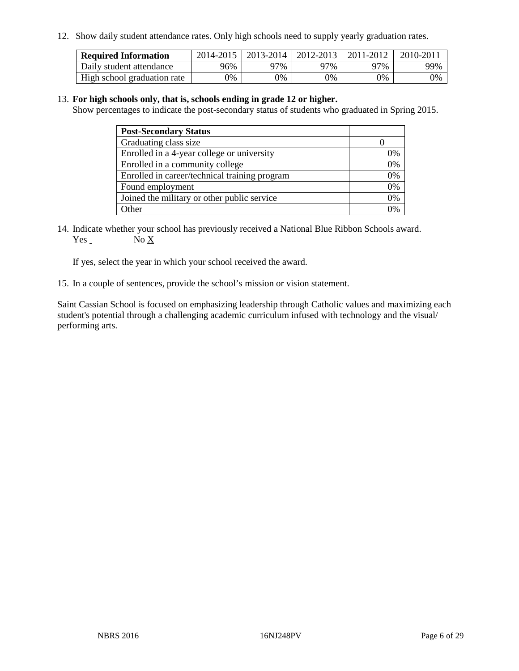12. Show daily student attendance rates. Only high schools need to supply yearly graduation rates.

| <b>Required Information</b> |     | 2014-2015   2013-2014   2012-2013 |       | 2011-2012 | 2010-2011 |
|-----------------------------|-----|-----------------------------------|-------|-----------|-----------|
| Daily student attendance    | 96% | 97%                               | 97%   | 77%       | 99%       |
| High school graduation rate | 0%  | 0%                                | $0\%$ | 9%        | 0%        |

#### 13. **For high schools only, that is, schools ending in grade 12 or higher.**

Show percentages to indicate the post-secondary status of students who graduated in Spring 2015.

| <b>Post-Secondary Status</b>                  |    |
|-----------------------------------------------|----|
| Graduating class size                         |    |
| Enrolled in a 4-year college or university    | 0% |
| Enrolled in a community college               | 0% |
| Enrolled in career/technical training program | 0% |
| Found employment                              | 0% |
| Joined the military or other public service   | 0% |
| Other                                         |    |

14. Indicate whether your school has previously received a National Blue Ribbon Schools award. Yes No X

If yes, select the year in which your school received the award.

15. In a couple of sentences, provide the school's mission or vision statement.

Saint Cassian School is focused on emphasizing leadership through Catholic values and maximizing each student's potential through a challenging academic curriculum infused with technology and the visual/ performing arts.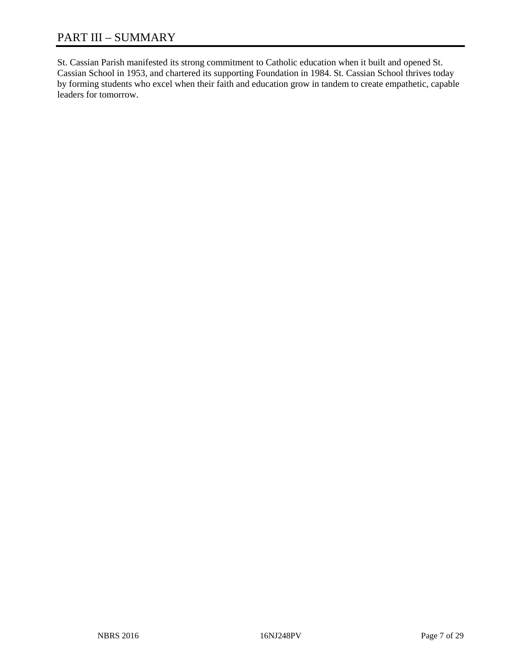St. Cassian Parish manifested its strong commitment to Catholic education when it built and opened St. Cassian School in 1953, and chartered its supporting Foundation in 1984. St. Cassian School thrives today by forming students who excel when their faith and education grow in tandem to create empathetic, capable leaders for tomorrow.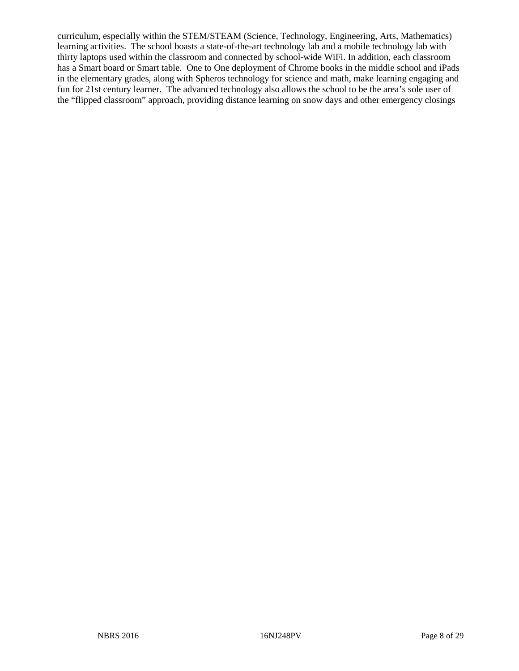curriculum, especially within the STEM/STEAM (Science, Technology, Engineering, Arts, Mathematics) learning activities. The school boasts a state-of-the-art technology lab and a mobile technology lab with thirty laptops used within the classroom and connected by school-wide WiFi. In addition, each classroom has a Smart board or Smart table. One to One deployment of Chrome books in the middle school and iPads in the elementary grades, along with Spheros technology for science and math, make learning engaging and fun for 21st century learner. The advanced technology also allows the school to be the area's sole user of the "flipped classroom" approach, providing distance learning on snow days and other emergency closings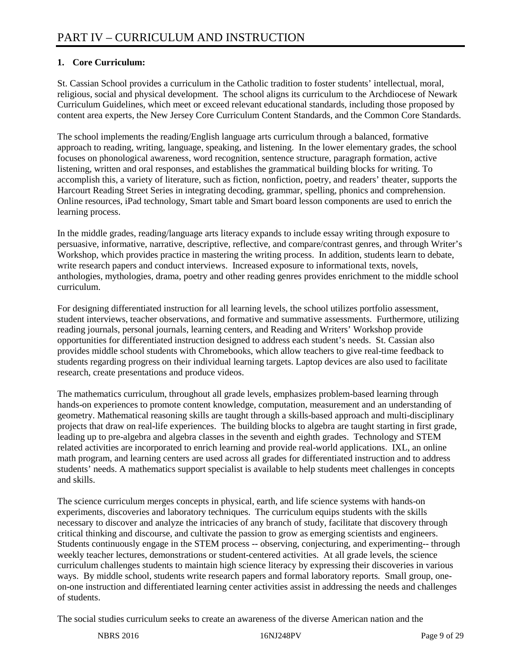## **1. Core Curriculum:**

St. Cassian School provides a curriculum in the Catholic tradition to foster students' intellectual, moral, religious, social and physical development. The school aligns its curriculum to the Archdiocese of Newark Curriculum Guidelines, which meet or exceed relevant educational standards, including those proposed by content area experts, the New Jersey Core Curriculum Content Standards, and the Common Core Standards.

The school implements the reading/English language arts curriculum through a balanced, formative approach to reading, writing, language, speaking, and listening. In the lower elementary grades, the school focuses on phonological awareness, word recognition, sentence structure, paragraph formation, active listening, written and oral responses, and establishes the grammatical building blocks for writing. To accomplish this, a variety of literature, such as fiction, nonfiction, poetry, and readers' theater, supports the Harcourt Reading Street Series in integrating decoding, grammar, spelling, phonics and comprehension. Online resources, iPad technology, Smart table and Smart board lesson components are used to enrich the learning process.

In the middle grades, reading/language arts literacy expands to include essay writing through exposure to persuasive, informative, narrative, descriptive, reflective, and compare/contrast genres, and through Writer's Workshop, which provides practice in mastering the writing process. In addition, students learn to debate, write research papers and conduct interviews. Increased exposure to informational texts, novels, anthologies, mythologies, drama, poetry and other reading genres provides enrichment to the middle school curriculum.

For designing differentiated instruction for all learning levels, the school utilizes portfolio assessment, student interviews, teacher observations, and formative and summative assessments. Furthermore, utilizing reading journals, personal journals, learning centers, and Reading and Writers' Workshop provide opportunities for differentiated instruction designed to address each student's needs. St. Cassian also provides middle school students with Chromebooks, which allow teachers to give real-time feedback to students regarding progress on their individual learning targets. Laptop devices are also used to facilitate research, create presentations and produce videos.

The mathematics curriculum, throughout all grade levels, emphasizes problem-based learning through hands-on experiences to promote content knowledge, computation, measurement and an understanding of geometry. Mathematical reasoning skills are taught through a skills-based approach and multi-disciplinary projects that draw on real-life experiences. The building blocks to algebra are taught starting in first grade, leading up to pre-algebra and algebra classes in the seventh and eighth grades. Technology and STEM related activities are incorporated to enrich learning and provide real-world applications. IXL, an online math program, and learning centers are used across all grades for differentiated instruction and to address students' needs. A mathematics support specialist is available to help students meet challenges in concepts and skills.

The science curriculum merges concepts in physical, earth, and life science systems with hands-on experiments, discoveries and laboratory techniques. The curriculum equips students with the skills necessary to discover and analyze the intricacies of any branch of study, facilitate that discovery through critical thinking and discourse, and cultivate the passion to grow as emerging scientists and engineers. Students continuously engage in the STEM process -- observing, conjecturing, and experimenting-- through weekly teacher lectures, demonstrations or student-centered activities. At all grade levels, the science curriculum challenges students to maintain high science literacy by expressing their discoveries in various ways. By middle school, students write research papers and formal laboratory reports. Small group, oneon-one instruction and differentiated learning center activities assist in addressing the needs and challenges of students.

The social studies curriculum seeks to create an awareness of the diverse American nation and the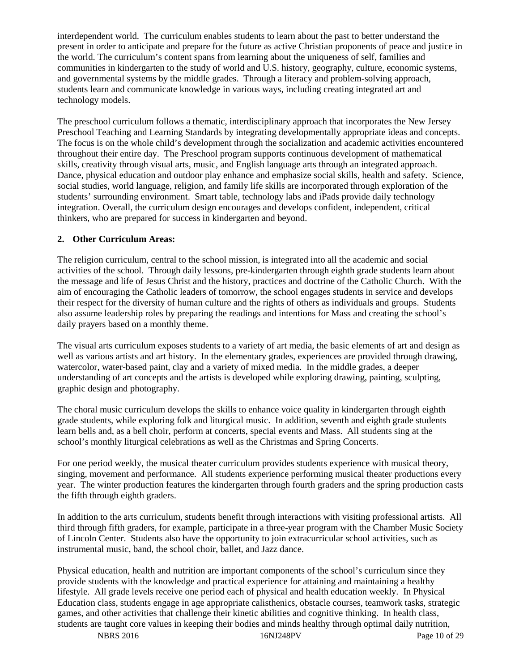interdependent world. The curriculum enables students to learn about the past to better understand the present in order to anticipate and prepare for the future as active Christian proponents of peace and justice in the world. The curriculum's content spans from learning about the uniqueness of self, families and communities in kindergarten to the study of world and U.S. history, geography, culture, economic systems, and governmental systems by the middle grades. Through a literacy and problem-solving approach, students learn and communicate knowledge in various ways, including creating integrated art and technology models.

The preschool curriculum follows a thematic, interdisciplinary approach that incorporates the New Jersey Preschool Teaching and Learning Standards by integrating developmentally appropriate ideas and concepts. The focus is on the whole child's development through the socialization and academic activities encountered throughout their entire day. The Preschool program supports continuous development of mathematical skills, creativity through visual arts, music, and English language arts through an integrated approach. Dance, physical education and outdoor play enhance and emphasize social skills, health and safety. Science, social studies, world language, religion, and family life skills are incorporated through exploration of the students' surrounding environment. Smart table, technology labs and iPads provide daily technology integration. Overall, the curriculum design encourages and develops confident, independent, critical thinkers, who are prepared for success in kindergarten and beyond.

#### **2. Other Curriculum Areas:**

The religion curriculum, central to the school mission, is integrated into all the academic and social activities of the school. Through daily lessons, pre-kindergarten through eighth grade students learn about the message and life of Jesus Christ and the history, practices and doctrine of the Catholic Church. With the aim of encouraging the Catholic leaders of tomorrow, the school engages students in service and develops their respect for the diversity of human culture and the rights of others as individuals and groups. Students also assume leadership roles by preparing the readings and intentions for Mass and creating the school's daily prayers based on a monthly theme.

The visual arts curriculum exposes students to a variety of art media, the basic elements of art and design as well as various artists and art history. In the elementary grades, experiences are provided through drawing, watercolor, water-based paint, clay and a variety of mixed media. In the middle grades, a deeper understanding of art concepts and the artists is developed while exploring drawing, painting, sculpting, graphic design and photography.

The choral music curriculum develops the skills to enhance voice quality in kindergarten through eighth grade students, while exploring folk and liturgical music. In addition, seventh and eighth grade students learn bells and, as a bell choir, perform at concerts, special events and Mass. All students sing at the school's monthly liturgical celebrations as well as the Christmas and Spring Concerts.

For one period weekly, the musical theater curriculum provides students experience with musical theory, singing, movement and performance. All students experience performing musical theater productions every year. The winter production features the kindergarten through fourth graders and the spring production casts the fifth through eighth graders.

In addition to the arts curriculum, students benefit through interactions with visiting professional artists. All third through fifth graders, for example, participate in a three-year program with the Chamber Music Society of Lincoln Center. Students also have the opportunity to join extracurricular school activities, such as instrumental music, band, the school choir, ballet, and Jazz dance.

Physical education, health and nutrition are important components of the school's curriculum since they provide students with the knowledge and practical experience for attaining and maintaining a healthy lifestyle. All grade levels receive one period each of physical and health education weekly. In Physical Education class, students engage in age appropriate calisthenics, obstacle courses, teamwork tasks, strategic games, and other activities that challenge their kinetic abilities and cognitive thinking. In health class, students are taught core values in keeping their bodies and minds healthy through optimal daily nutrition,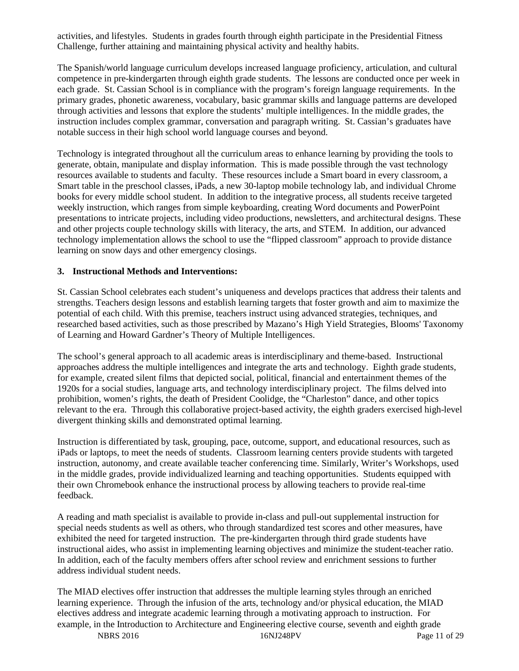activities, and lifestyles. Students in grades fourth through eighth participate in the Presidential Fitness Challenge, further attaining and maintaining physical activity and healthy habits.

The Spanish/world language curriculum develops increased language proficiency, articulation, and cultural competence in pre-kindergarten through eighth grade students. The lessons are conducted once per week in each grade. St. Cassian School is in compliance with the program's foreign language requirements. In the primary grades, phonetic awareness, vocabulary, basic grammar skills and language patterns are developed through activities and lessons that explore the students' multiple intelligences. In the middle grades, the instruction includes complex grammar, conversation and paragraph writing. St. Cassian's graduates have notable success in their high school world language courses and beyond.

Technology is integrated throughout all the curriculum areas to enhance learning by providing the tools to generate, obtain, manipulate and display information. This is made possible through the vast technology resources available to students and faculty. These resources include a Smart board in every classroom, a Smart table in the preschool classes, iPads, a new 30-laptop mobile technology lab, and individual Chrome books for every middle school student. In addition to the integrative process, all students receive targeted weekly instruction, which ranges from simple keyboarding, creating Word documents and PowerPoint presentations to intricate projects, including video productions, newsletters, and architectural designs. These and other projects couple technology skills with literacy, the arts, and STEM. In addition, our advanced technology implementation allows the school to use the "flipped classroom" approach to provide distance learning on snow days and other emergency closings.

#### **3. Instructional Methods and Interventions:**

St. Cassian School celebrates each student's uniqueness and develops practices that address their talents and strengths. Teachers design lessons and establish learning targets that foster growth and aim to maximize the potential of each child. With this premise, teachers instruct using advanced strategies, techniques, and researched based activities, such as those prescribed by Mazano's High Yield Strategies, Blooms' Taxonomy of Learning and Howard Gardner's Theory of Multiple Intelligences.

The school's general approach to all academic areas is interdisciplinary and theme-based. Instructional approaches address the multiple intelligences and integrate the arts and technology. Eighth grade students, for example, created silent films that depicted social, political, financial and entertainment themes of the 1920s for a social studies, language arts, and technology interdisciplinary project. The films delved into prohibition, women's rights, the death of President Coolidge, the "Charleston" dance, and other topics relevant to the era. Through this collaborative project-based activity, the eighth graders exercised high-level divergent thinking skills and demonstrated optimal learning.

Instruction is differentiated by task, grouping, pace, outcome, support, and educational resources, such as iPads or laptops, to meet the needs of students. Classroom learning centers provide students with targeted instruction, autonomy, and create available teacher conferencing time. Similarly, Writer's Workshops, used in the middle grades, provide individualized learning and teaching opportunities. Students equipped with their own Chromebook enhance the instructional process by allowing teachers to provide real-time feedback.

A reading and math specialist is available to provide in-class and pull-out supplemental instruction for special needs students as well as others, who through standardized test scores and other measures, have exhibited the need for targeted instruction. The pre-kindergarten through third grade students have instructional aides, who assist in implementing learning objectives and minimize the student-teacher ratio. In addition, each of the faculty members offers after school review and enrichment sessions to further address individual student needs.

The MIAD electives offer instruction that addresses the multiple learning styles through an enriched learning experience. Through the infusion of the arts, technology and/or physical education, the MIAD electives address and integrate academic learning through a motivating approach to instruction. For example, in the Introduction to Architecture and Engineering elective course, seventh and eighth grade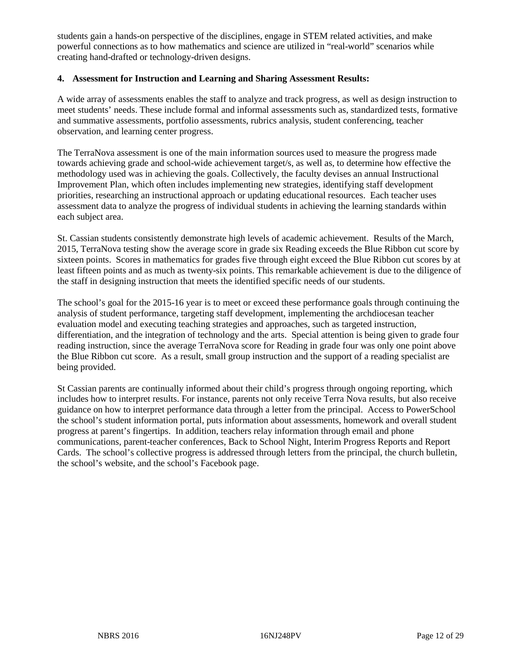students gain a hands-on perspective of the disciplines, engage in STEM related activities, and make powerful connections as to how mathematics and science are utilized in "real-world" scenarios while creating hand-drafted or technology-driven designs.

#### **4. Assessment for Instruction and Learning and Sharing Assessment Results:**

A wide array of assessments enables the staff to analyze and track progress, as well as design instruction to meet students' needs. These include formal and informal assessments such as, standardized tests, formative and summative assessments, portfolio assessments, rubrics analysis, student conferencing, teacher observation, and learning center progress.

The TerraNova assessment is one of the main information sources used to measure the progress made towards achieving grade and school-wide achievement target/s, as well as, to determine how effective the methodology used was in achieving the goals. Collectively, the faculty devises an annual Instructional Improvement Plan, which often includes implementing new strategies, identifying staff development priorities, researching an instructional approach or updating educational resources. Each teacher uses assessment data to analyze the progress of individual students in achieving the learning standards within each subject area.

St. Cassian students consistently demonstrate high levels of academic achievement. Results of the March, 2015, TerraNova testing show the average score in grade six Reading exceeds the Blue Ribbon cut score by sixteen points. Scores in mathematics for grades five through eight exceed the Blue Ribbon cut scores by at least fifteen points and as much as twenty-six points. This remarkable achievement is due to the diligence of the staff in designing instruction that meets the identified specific needs of our students.

The school's goal for the 2015-16 year is to meet or exceed these performance goals through continuing the analysis of student performance, targeting staff development, implementing the archdiocesan teacher evaluation model and executing teaching strategies and approaches, such as targeted instruction, differentiation, and the integration of technology and the arts. Special attention is being given to grade four reading instruction, since the average TerraNova score for Reading in grade four was only one point above the Blue Ribbon cut score. As a result, small group instruction and the support of a reading specialist are being provided.

St Cassian parents are continually informed about their child's progress through ongoing reporting, which includes how to interpret results. For instance, parents not only receive Terra Nova results, but also receive guidance on how to interpret performance data through a letter from the principal. Access to PowerSchool the school's student information portal, puts information about assessments, homework and overall student progress at parent's fingertips. In addition, teachers relay information through email and phone communications, parent-teacher conferences, Back to School Night, Interim Progress Reports and Report Cards. The school's collective progress is addressed through letters from the principal, the church bulletin, the school's website, and the school's Facebook page.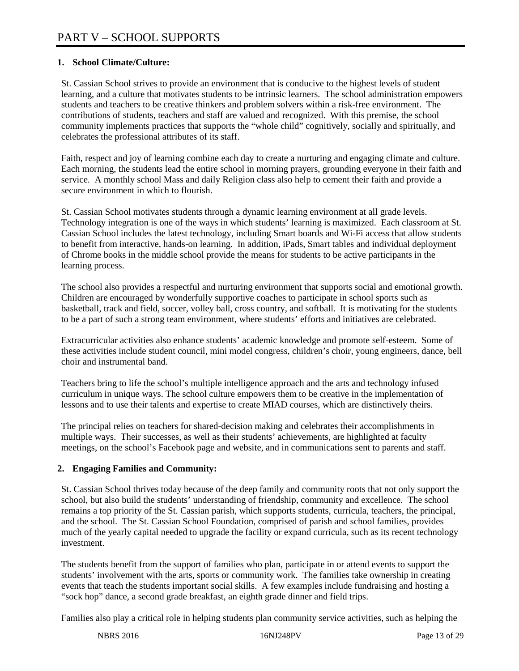## **1. School Climate/Culture:**

St. Cassian School strives to provide an environment that is conducive to the highest levels of student learning, and a culture that motivates students to be intrinsic learners. The school administration empowers students and teachers to be creative thinkers and problem solvers within a risk-free environment. The contributions of students, teachers and staff are valued and recognized. With this premise, the school community implements practices that supports the "whole child" cognitively, socially and spiritually, and celebrates the professional attributes of its staff.

Faith, respect and joy of learning combine each day to create a nurturing and engaging climate and culture. Each morning, the students lead the entire school in morning prayers, grounding everyone in their faith and service. A monthly school Mass and daily Religion class also help to cement their faith and provide a secure environment in which to flourish.

St. Cassian School motivates students through a dynamic learning environment at all grade levels. Technology integration is one of the ways in which students' learning is maximized. Each classroom at St. Cassian School includes the latest technology, including Smart boards and Wi-Fi access that allow students to benefit from interactive, hands-on learning. In addition, iPads, Smart tables and individual deployment of Chrome books in the middle school provide the means for students to be active participants in the learning process.

The school also provides a respectful and nurturing environment that supports social and emotional growth. Children are encouraged by wonderfully supportive coaches to participate in school sports such as basketball, track and field, soccer, volley ball, cross country, and softball. It is motivating for the students to be a part of such a strong team environment, where students' efforts and initiatives are celebrated.

Extracurricular activities also enhance students' academic knowledge and promote self-esteem. Some of these activities include student council, mini model congress, children's choir, young engineers, dance, bell choir and instrumental band.

Teachers bring to life the school's multiple intelligence approach and the arts and technology infused curriculum in unique ways. The school culture empowers them to be creative in the implementation of lessons and to use their talents and expertise to create MIAD courses, which are distinctively theirs.

The principal relies on teachers for shared-decision making and celebrates their accomplishments in multiple ways. Their successes, as well as their students' achievements, are highlighted at faculty meetings, on the school's Facebook page and website, and in communications sent to parents and staff.

## **2. Engaging Families and Community:**

St. Cassian School thrives today because of the deep family and community roots that not only support the school, but also build the students' understanding of friendship, community and excellence. The school remains a top priority of the St. Cassian parish, which supports students, curricula, teachers, the principal, and the school. The St. Cassian School Foundation, comprised of parish and school families, provides much of the yearly capital needed to upgrade the facility or expand curricula, such as its recent technology investment.

The students benefit from the support of families who plan, participate in or attend events to support the students' involvement with the arts, sports or community work. The families take ownership in creating events that teach the students important social skills. A few examples include fundraising and hosting a "sock hop" dance, a second grade breakfast, an eighth grade dinner and field trips.

Families also play a critical role in helping students plan community service activities, such as helping the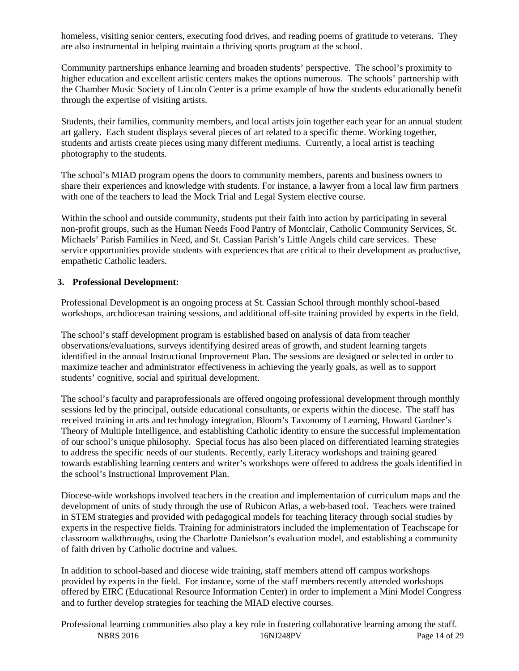homeless, visiting senior centers, executing food drives, and reading poems of gratitude to veterans. They are also instrumental in helping maintain a thriving sports program at the school.

Community partnerships enhance learning and broaden students' perspective. The school's proximity to higher education and excellent artistic centers makes the options numerous. The schools' partnership with the Chamber Music Society of Lincoln Center is a prime example of how the students educationally benefit through the expertise of visiting artists.

Students, their families, community members, and local artists join together each year for an annual student art gallery. Each student displays several pieces of art related to a specific theme. Working together, students and artists create pieces using many different mediums. Currently, a local artist is teaching photography to the students.

The school's MIAD program opens the doors to community members, parents and business owners to share their experiences and knowledge with students. For instance, a lawyer from a local law firm partners with one of the teachers to lead the Mock Trial and Legal System elective course.

Within the school and outside community, students put their faith into action by participating in several non-profit groups, such as the Human Needs Food Pantry of Montclair, Catholic Community Services, St. Michaels' Parish Families in Need, and St. Cassian Parish's Little Angels child care services. These service opportunities provide students with experiences that are critical to their development as productive, empathetic Catholic leaders.

#### **3. Professional Development:**

Professional Development is an ongoing process at St. Cassian School through monthly school-based workshops, archdiocesan training sessions, and additional off-site training provided by experts in the field.

The school's staff development program is established based on analysis of data from teacher observations/evaluations, surveys identifying desired areas of growth, and student learning targets identified in the annual Instructional Improvement Plan. The sessions are designed or selected in order to maximize teacher and administrator effectiveness in achieving the yearly goals, as well as to support students' cognitive, social and spiritual development.

The school's faculty and paraprofessionals are offered ongoing professional development through monthly sessions led by the principal, outside educational consultants, or experts within the diocese. The staff has received training in arts and technology integration, Bloom's Taxonomy of Learning, Howard Gardner's Theory of Multiple Intelligence, and establishing Catholic identity to ensure the successful implementation of our school's unique philosophy. Special focus has also been placed on differentiated learning strategies to address the specific needs of our students. Recently, early Literacy workshops and training geared towards establishing learning centers and writer's workshops were offered to address the goals identified in the school's Instructional Improvement Plan.

Diocese-wide workshops involved teachers in the creation and implementation of curriculum maps and the development of units of study through the use of Rubicon Atlas, a web-based tool. Teachers were trained in STEM strategies and provided with pedagogical models for teaching literacy through social studies by experts in the respective fields. Training for administrators included the implementation of Teachscape for classroom walkthroughs, using the Charlotte Danielson's evaluation model, and establishing a community of faith driven by Catholic doctrine and values.

In addition to school-based and diocese wide training, staff members attend off campus workshops provided by experts in the field. For instance, some of the staff members recently attended workshops offered by EIRC (Educational Resource Information Center) in order to implement a Mini Model Congress and to further develop strategies for teaching the MIAD elective courses.

NBRS 2016 16NJ248PV Page 14 of 29 Professional learning communities also play a key role in fostering collaborative learning among the staff.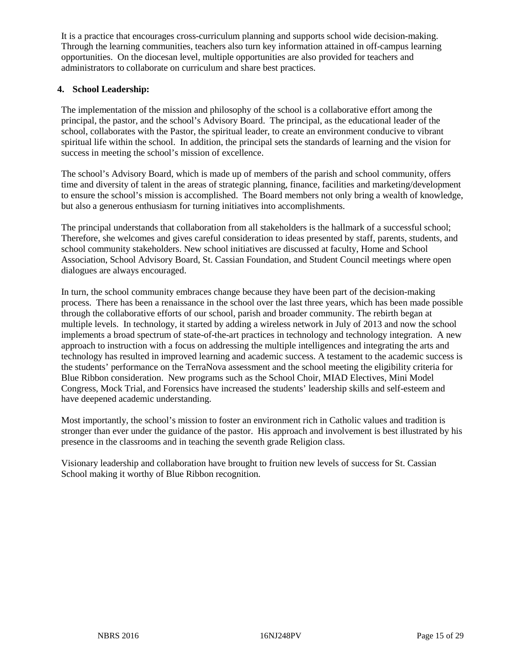It is a practice that encourages cross-curriculum planning and supports school wide decision-making. Through the learning communities, teachers also turn key information attained in off-campus learning opportunities. On the diocesan level, multiple opportunities are also provided for teachers and administrators to collaborate on curriculum and share best practices.

#### **4. School Leadership:**

The implementation of the mission and philosophy of the school is a collaborative effort among the principal, the pastor, and the school's Advisory Board. The principal, as the educational leader of the school, collaborates with the Pastor, the spiritual leader, to create an environment conducive to vibrant spiritual life within the school. In addition, the principal sets the standards of learning and the vision for success in meeting the school's mission of excellence.

The school's Advisory Board, which is made up of members of the parish and school community, offers time and diversity of talent in the areas of strategic planning, finance, facilities and marketing/development to ensure the school's mission is accomplished. The Board members not only bring a wealth of knowledge, but also a generous enthusiasm for turning initiatives into accomplishments.

The principal understands that collaboration from all stakeholders is the hallmark of a successful school; Therefore, she welcomes and gives careful consideration to ideas presented by staff, parents, students, and school community stakeholders. New school initiatives are discussed at faculty, Home and School Association, School Advisory Board, St. Cassian Foundation, and Student Council meetings where open dialogues are always encouraged.

In turn, the school community embraces change because they have been part of the decision-making process. There has been a renaissance in the school over the last three years, which has been made possible through the collaborative efforts of our school, parish and broader community. The rebirth began at multiple levels. In technology, it started by adding a wireless network in July of 2013 and now the school implements a broad spectrum of state-of-the-art practices in technology and technology integration. A new approach to instruction with a focus on addressing the multiple intelligences and integrating the arts and technology has resulted in improved learning and academic success. A testament to the academic success is the students' performance on the TerraNova assessment and the school meeting the eligibility criteria for Blue Ribbon consideration. New programs such as the School Choir, MIAD Electives, Mini Model Congress, Mock Trial, and Forensics have increased the students' leadership skills and self-esteem and have deepened academic understanding.

Most importantly, the school's mission to foster an environment rich in Catholic values and tradition is stronger than ever under the guidance of the pastor. His approach and involvement is best illustrated by his presence in the classrooms and in teaching the seventh grade Religion class.

Visionary leadership and collaboration have brought to fruition new levels of success for St. Cassian School making it worthy of Blue Ribbon recognition.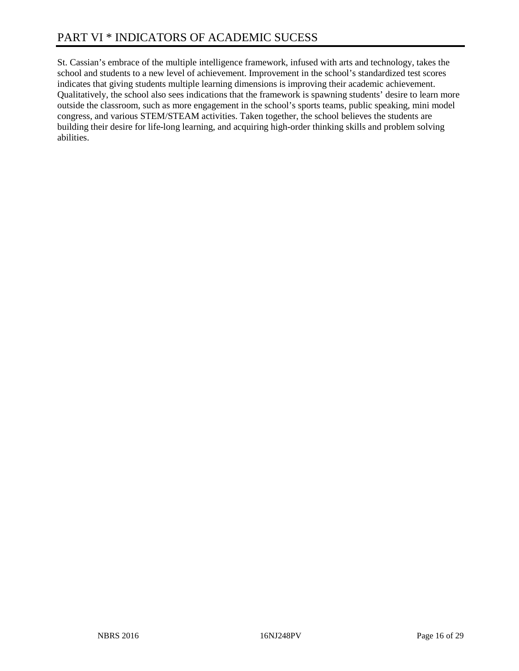St. Cassian's embrace of the multiple intelligence framework, infused with arts and technology, takes the school and students to a new level of achievement. Improvement in the school's standardized test scores indicates that giving students multiple learning dimensions is improving their academic achievement. Qualitatively, the school also sees indications that the framework is spawning students' desire to learn more outside the classroom, such as more engagement in the school's sports teams, public speaking, mini model congress, and various STEM/STEAM activities. Taken together, the school believes the students are building their desire for life-long learning, and acquiring high-order thinking skills and problem solving abilities.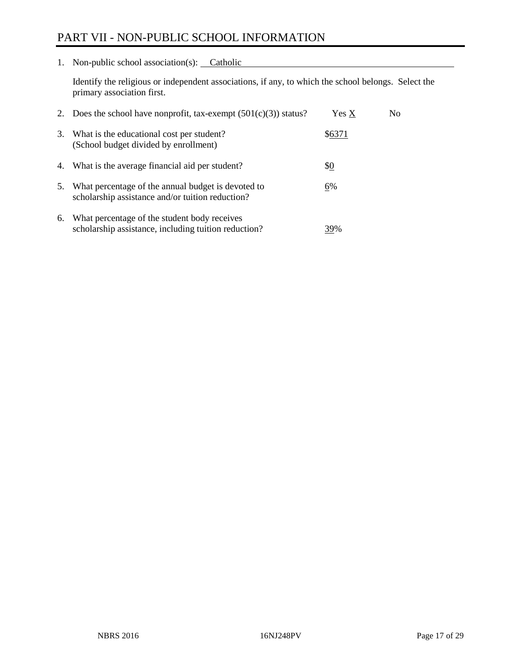## PART VII - NON-PUBLIC SCHOOL INFORMATION

1. Non-public school association(s): Catholic

Identify the religious or independent associations, if any, to which the school belongs. Select the primary association first.

| 2. | Does the school have nonprofit, tax-exempt $(501(c)(3))$ status?                                       | Yes X  | No. |
|----|--------------------------------------------------------------------------------------------------------|--------|-----|
| 3. | What is the educational cost per student?<br>(School budget divided by enrollment)                     | \$6371 |     |
| 4. | What is the average financial aid per student?                                                         | \$0    |     |
| 5. | What percentage of the annual budget is devoted to<br>scholarship assistance and/or tuition reduction? | 6%     |     |
| 6. | What percentage of the student body receives<br>scholarship assistance, including tuition reduction?   | 39%    |     |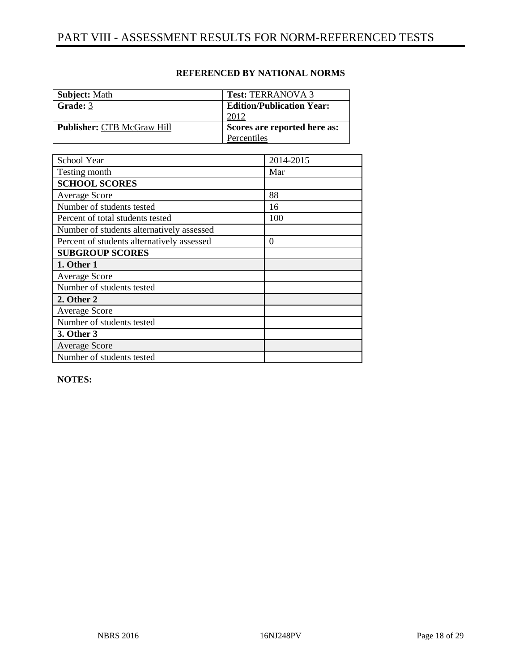| <b>Subject: Math</b>              | <b>Test: TERRANOVA 3</b>         |
|-----------------------------------|----------------------------------|
| Grade: 3                          | <b>Edition/Publication Year:</b> |
|                                   | 2012                             |
| <b>Publisher: CTB McGraw Hill</b> | Scores are reported here as:     |
|                                   | Percentiles                      |

| School Year                                | 2014-2015 |
|--------------------------------------------|-----------|
| Testing month                              | Mar       |
| <b>SCHOOL SCORES</b>                       |           |
| <b>Average Score</b>                       | 88        |
| Number of students tested                  | 16        |
| Percent of total students tested           | 100       |
| Number of students alternatively assessed  |           |
| Percent of students alternatively assessed | $\theta$  |
| <b>SUBGROUP SCORES</b>                     |           |
| 1. Other 1                                 |           |
| <b>Average Score</b>                       |           |
| Number of students tested                  |           |
| 2. Other 2                                 |           |
| Average Score                              |           |
| Number of students tested                  |           |
| 3. Other 3                                 |           |
| <b>Average Score</b>                       |           |
| Number of students tested                  |           |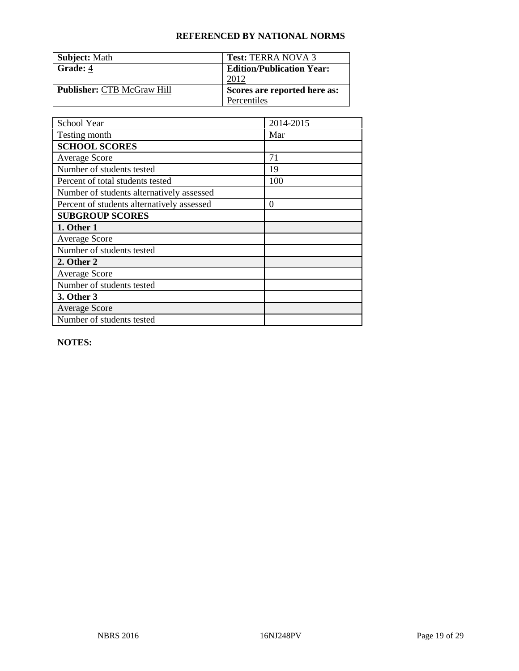| <b>Subject: Math</b>              | <b>Test: TERRA NOVA 3</b>        |
|-----------------------------------|----------------------------------|
| Grade: 4                          | <b>Edition/Publication Year:</b> |
|                                   | 2012                             |
| <b>Publisher: CTB McGraw Hill</b> | Scores are reported here as:     |
|                                   | Percentiles                      |

| School Year                                | 2014-2015        |
|--------------------------------------------|------------------|
| Testing month                              | Mar              |
| <b>SCHOOL SCORES</b>                       |                  |
| <b>Average Score</b>                       | 71               |
| Number of students tested                  | 19               |
| Percent of total students tested           | 100              |
| Number of students alternatively assessed  |                  |
| Percent of students alternatively assessed | $\boldsymbol{0}$ |
| <b>SUBGROUP SCORES</b>                     |                  |
| 1. Other 1                                 |                  |
| <b>Average Score</b>                       |                  |
| Number of students tested                  |                  |
| 2. Other 2                                 |                  |
| <b>Average Score</b>                       |                  |
| Number of students tested                  |                  |
| 3. Other 3                                 |                  |
| <b>Average Score</b>                       |                  |
| Number of students tested                  |                  |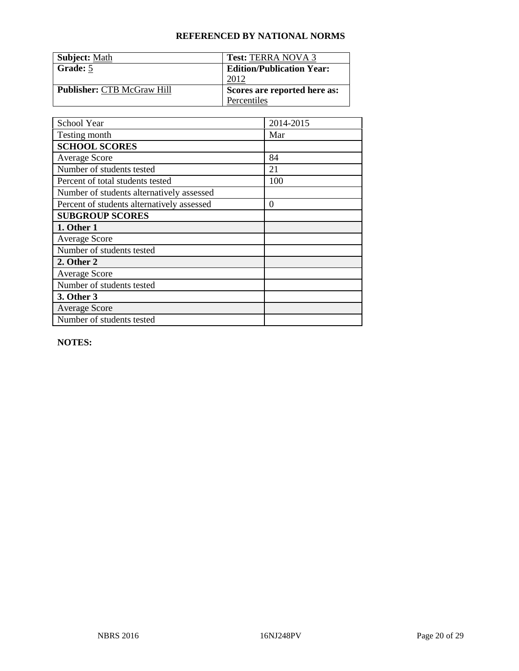| <b>Subject: Math</b>              | <b>Test: TERRA NOVA 3</b>        |
|-----------------------------------|----------------------------------|
| Grade: 5                          | <b>Edition/Publication Year:</b> |
|                                   | 2012                             |
| <b>Publisher: CTB McGraw Hill</b> | Scores are reported here as:     |
|                                   | Percentiles                      |

| School Year                                | 2014-2015        |
|--------------------------------------------|------------------|
| Testing month                              | Mar              |
| <b>SCHOOL SCORES</b>                       |                  |
| <b>Average Score</b>                       | 84               |
| Number of students tested                  | 21               |
| Percent of total students tested           | 100              |
| Number of students alternatively assessed  |                  |
| Percent of students alternatively assessed | $\boldsymbol{0}$ |
| <b>SUBGROUP SCORES</b>                     |                  |
| 1. Other 1                                 |                  |
| <b>Average Score</b>                       |                  |
| Number of students tested                  |                  |
| 2. Other 2                                 |                  |
| <b>Average Score</b>                       |                  |
| Number of students tested                  |                  |
| 3. Other 3                                 |                  |
| <b>Average Score</b>                       |                  |
| Number of students tested                  |                  |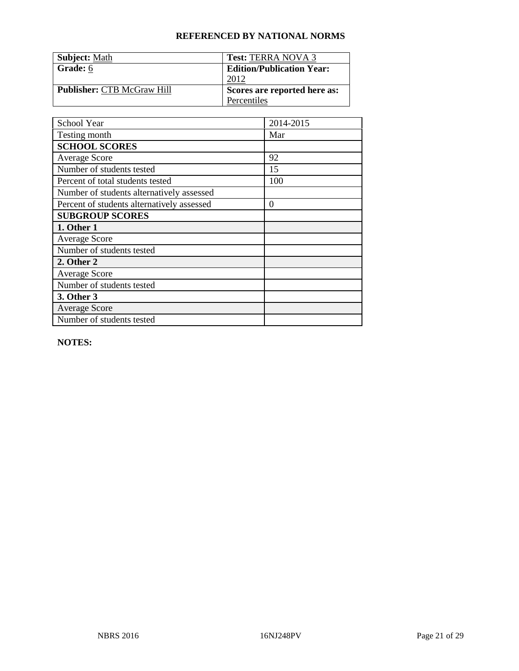| <b>Subject: Math</b>              | <b>Test: TERRA NOVA 3</b>        |
|-----------------------------------|----------------------------------|
| Grade: 6                          | <b>Edition/Publication Year:</b> |
|                                   | 2012                             |
| <b>Publisher: CTB McGraw Hill</b> | Scores are reported here as:     |
|                                   | Percentiles                      |

| School Year                                | 2014-2015        |
|--------------------------------------------|------------------|
| Testing month                              | Mar              |
| <b>SCHOOL SCORES</b>                       |                  |
| <b>Average Score</b>                       | 92               |
| Number of students tested                  | 15               |
| Percent of total students tested           | 100              |
| Number of students alternatively assessed  |                  |
| Percent of students alternatively assessed | $\boldsymbol{0}$ |
| <b>SUBGROUP SCORES</b>                     |                  |
| 1. Other 1                                 |                  |
| <b>Average Score</b>                       |                  |
| Number of students tested                  |                  |
| 2. Other 2                                 |                  |
| <b>Average Score</b>                       |                  |
| Number of students tested                  |                  |
| 3. Other 3                                 |                  |
| <b>Average Score</b>                       |                  |
| Number of students tested                  |                  |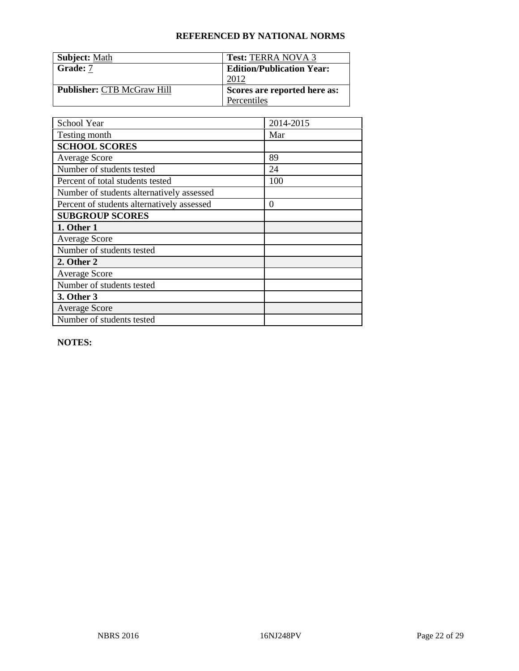| <b>Subject: Math</b>              | <b>Test: TERRA NOVA 3</b>        |
|-----------------------------------|----------------------------------|
| <b>Grade:</b> 7                   | <b>Edition/Publication Year:</b> |
|                                   | 2012                             |
| <b>Publisher: CTB McGraw Hill</b> | Scores are reported here as:     |
|                                   | Percentiles                      |

| School Year                                | 2014-2015        |
|--------------------------------------------|------------------|
| Testing month                              | Mar              |
| <b>SCHOOL SCORES</b>                       |                  |
| <b>Average Score</b>                       | 89               |
| Number of students tested                  | 24               |
| Percent of total students tested           | 100              |
| Number of students alternatively assessed  |                  |
| Percent of students alternatively assessed | $\boldsymbol{0}$ |
| <b>SUBGROUP SCORES</b>                     |                  |
| 1. Other 1                                 |                  |
| <b>Average Score</b>                       |                  |
| Number of students tested                  |                  |
| 2. Other 2                                 |                  |
| <b>Average Score</b>                       |                  |
| Number of students tested                  |                  |
| 3. Other 3                                 |                  |
| <b>Average Score</b>                       |                  |
| Number of students tested                  |                  |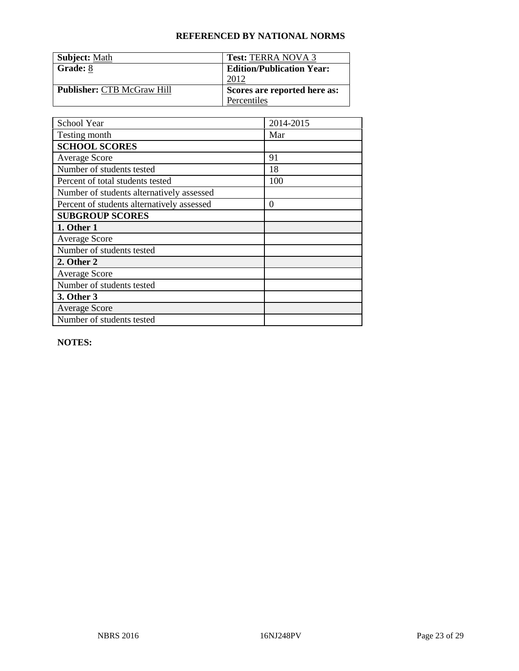| <b>Subject: Math</b>              | <b>Test: TERRA NOVA 3</b>        |
|-----------------------------------|----------------------------------|
| Grade: 8                          | <b>Edition/Publication Year:</b> |
|                                   | 2012                             |
| <b>Publisher: CTB McGraw Hill</b> | Scores are reported here as:     |
|                                   | Percentiles                      |

| School Year                                | 2014-2015        |
|--------------------------------------------|------------------|
| Testing month                              | Mar              |
| <b>SCHOOL SCORES</b>                       |                  |
| <b>Average Score</b>                       | 91               |
| Number of students tested                  | 18               |
| Percent of total students tested           | 100              |
| Number of students alternatively assessed  |                  |
| Percent of students alternatively assessed | $\boldsymbol{0}$ |
| <b>SUBGROUP SCORES</b>                     |                  |
| 1. Other 1                                 |                  |
| <b>Average Score</b>                       |                  |
| Number of students tested                  |                  |
| 2. Other 2                                 |                  |
| <b>Average Score</b>                       |                  |
| Number of students tested                  |                  |
| 3. Other 3                                 |                  |
| <b>Average Score</b>                       |                  |
| Number of students tested                  |                  |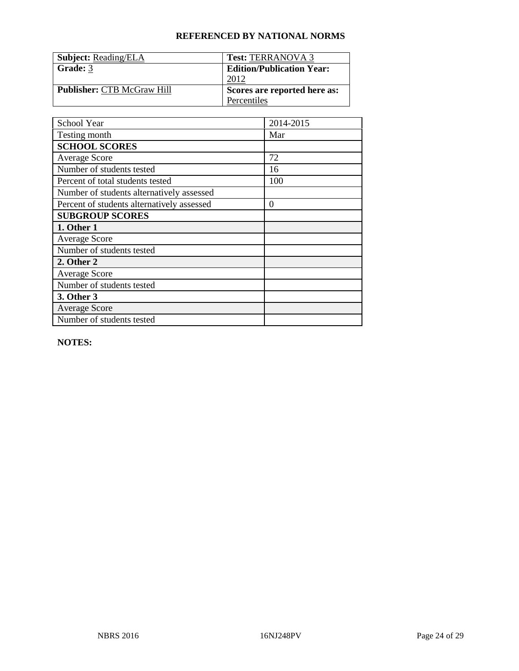| <b>Subject: Reading/ELA</b>       | <b>Test: TERRANOVA 3</b>         |
|-----------------------------------|----------------------------------|
| Grade: 3                          | <b>Edition/Publication Year:</b> |
|                                   | 2012                             |
| <b>Publisher: CTB McGraw Hill</b> | Scores are reported here as:     |
|                                   | Percentiles                      |

| School Year                                | 2014-2015 |
|--------------------------------------------|-----------|
| Testing month                              | Mar       |
| <b>SCHOOL SCORES</b>                       |           |
| <b>Average Score</b>                       | 72        |
| Number of students tested                  | 16        |
| Percent of total students tested           | 100       |
| Number of students alternatively assessed  |           |
| Percent of students alternatively assessed | 0         |
| <b>SUBGROUP SCORES</b>                     |           |
| 1. Other 1                                 |           |
| <b>Average Score</b>                       |           |
| Number of students tested                  |           |
| 2. Other 2                                 |           |
| <b>Average Score</b>                       |           |
| Number of students tested                  |           |
| 3. Other 3                                 |           |
| <b>Average Score</b>                       |           |
| Number of students tested                  |           |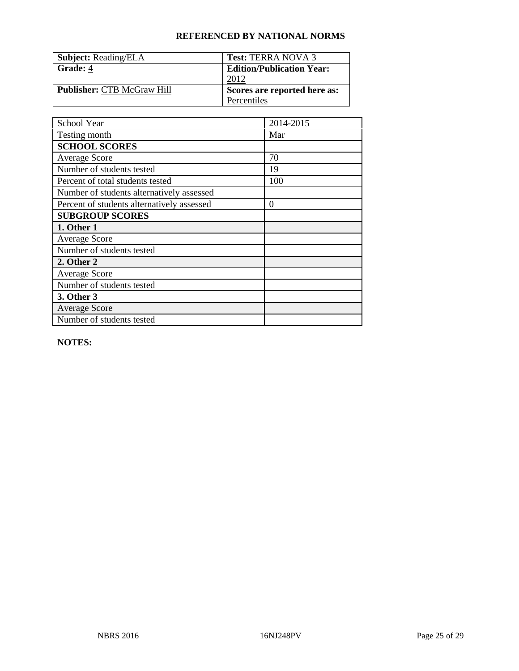| <b>Subject: Reading/ELA</b>       | <b>Test: TERRA NOVA 3</b>        |
|-----------------------------------|----------------------------------|
| Grade: 4                          | <b>Edition/Publication Year:</b> |
|                                   | 2012                             |
| <b>Publisher: CTB McGraw Hill</b> | Scores are reported here as:     |
|                                   | Percentiles                      |

| School Year                                | 2014-2015 |
|--------------------------------------------|-----------|
| Testing month                              | Mar       |
| <b>SCHOOL SCORES</b>                       |           |
| <b>Average Score</b>                       | 70        |
| Number of students tested                  | 19        |
| Percent of total students tested           | 100       |
| Number of students alternatively assessed  |           |
| Percent of students alternatively assessed | $\Omega$  |
| <b>SUBGROUP SCORES</b>                     |           |
| 1. Other 1                                 |           |
| <b>Average Score</b>                       |           |
| Number of students tested                  |           |
| 2. Other 2                                 |           |
| <b>Average Score</b>                       |           |
| Number of students tested                  |           |
| 3. Other 3                                 |           |
| <b>Average Score</b>                       |           |
| Number of students tested                  |           |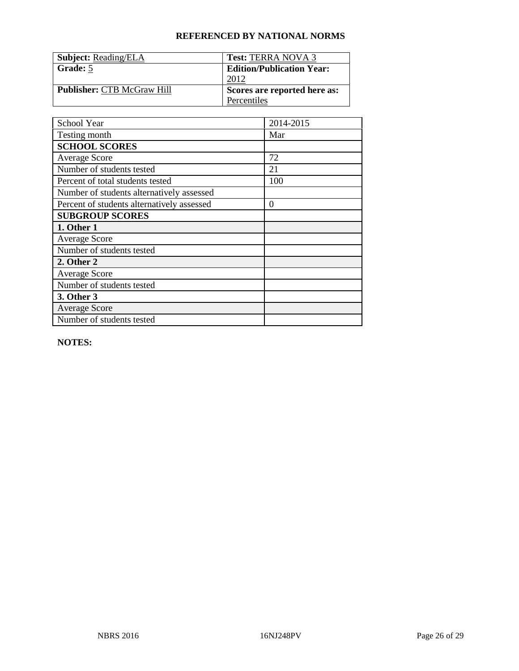| <b>Subject: Reading/ELA</b>       | <b>Test: TERRA NOVA 3</b>        |
|-----------------------------------|----------------------------------|
| Grade: 5                          | <b>Edition/Publication Year:</b> |
|                                   | 2012                             |
| <b>Publisher: CTB McGraw Hill</b> | Scores are reported here as:     |
|                                   | Percentiles                      |

| School Year                                | 2014-2015 |
|--------------------------------------------|-----------|
| Testing month                              | Mar       |
| <b>SCHOOL SCORES</b>                       |           |
| <b>Average Score</b>                       | 72        |
| Number of students tested                  | 21        |
| Percent of total students tested           | 100       |
| Number of students alternatively assessed  |           |
| Percent of students alternatively assessed | $\Omega$  |
| <b>SUBGROUP SCORES</b>                     |           |
| 1. Other 1                                 |           |
| <b>Average Score</b>                       |           |
| Number of students tested                  |           |
| 2. Other 2                                 |           |
| <b>Average Score</b>                       |           |
| Number of students tested                  |           |
| 3. Other 3                                 |           |
| <b>Average Score</b>                       |           |
| Number of students tested                  |           |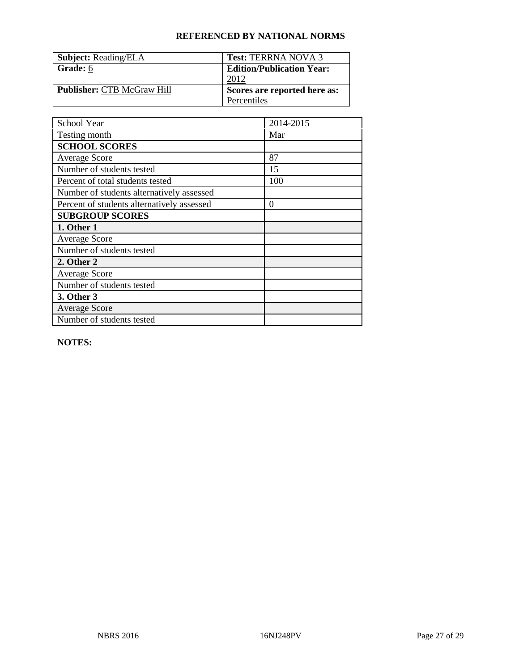| <b>Subject: Reading/ELA</b>       | <b>Test: TERRNA NOVA 3</b>       |
|-----------------------------------|----------------------------------|
| Grade: 6                          | <b>Edition/Publication Year:</b> |
|                                   | 2012                             |
| <b>Publisher: CTB McGraw Hill</b> | Scores are reported here as:     |
|                                   | Percentiles                      |

| School Year                                | 2014-2015 |
|--------------------------------------------|-----------|
| Testing month                              | Mar       |
| <b>SCHOOL SCORES</b>                       |           |
| <b>Average Score</b>                       | 87        |
| Number of students tested                  | 15        |
| Percent of total students tested           | 100       |
| Number of students alternatively assessed  |           |
| Percent of students alternatively assessed | 0         |
| <b>SUBGROUP SCORES</b>                     |           |
| 1. Other 1                                 |           |
| <b>Average Score</b>                       |           |
| Number of students tested                  |           |
| 2. Other 2                                 |           |
| <b>Average Score</b>                       |           |
| Number of students tested                  |           |
| 3. Other 3                                 |           |
| <b>Average Score</b>                       |           |
| Number of students tested                  |           |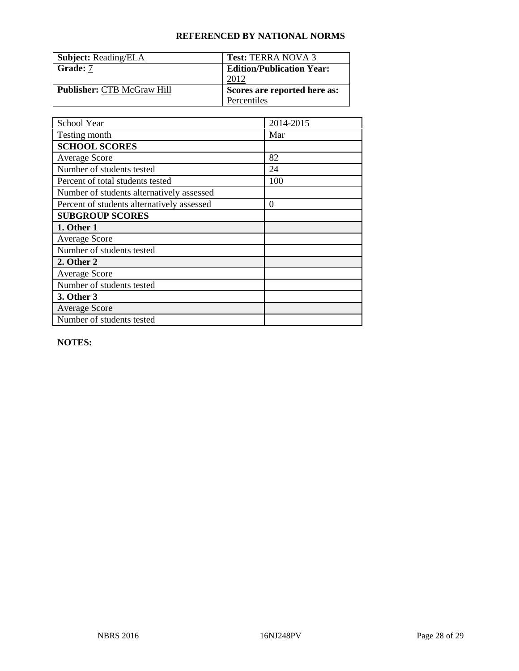| <b>Subject: Reading/ELA</b>       | <b>Test: TERRA NOVA 3</b>        |
|-----------------------------------|----------------------------------|
| <b>Grade:</b> 7                   | <b>Edition/Publication Year:</b> |
|                                   | 2012                             |
| <b>Publisher: CTB McGraw Hill</b> | Scores are reported here as:     |
|                                   | Percentiles                      |

| School Year                                | 2014-2015        |
|--------------------------------------------|------------------|
| Testing month                              | Mar              |
| <b>SCHOOL SCORES</b>                       |                  |
| <b>Average Score</b>                       | 82               |
| Number of students tested                  | 24               |
| Percent of total students tested           | 100              |
| Number of students alternatively assessed  |                  |
| Percent of students alternatively assessed | $\boldsymbol{0}$ |
| <b>SUBGROUP SCORES</b>                     |                  |
| 1. Other 1                                 |                  |
| <b>Average Score</b>                       |                  |
| Number of students tested                  |                  |
| 2. Other 2                                 |                  |
| <b>Average Score</b>                       |                  |
| Number of students tested                  |                  |
| 3. Other 3                                 |                  |
| <b>Average Score</b>                       |                  |
| Number of students tested                  |                  |